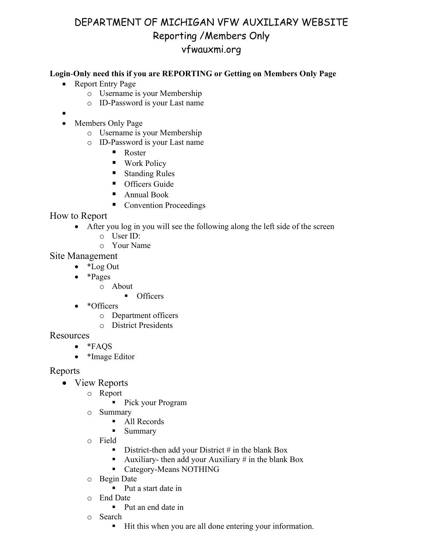## DEPARTMENT OF MICHIGAN VFW AUXILIARY WEBSITE Reporting /Members Only vfwauxmi.org

## **Login**-**Only need this if you are REPORTING or Getting on Members Only Page**

- Report Entry Page
	- o Username is your Membership
	- o ID-Password is your Last name
- •
- Members Only Page
	- o Username is your Membership
	- $\circ$  ID-Password is your Last name
		- Roster
		- Work Policy
		- Standing Rules
		- **•** Officers Guide
		- Annual Book
		- Convention Proceedings

How to Report

- After you log in you will see the following along the left side of the screen
	- o User ID:
	- o Your Name

Site Management

- \*Log Out
- \*Pages
	- o About
		- **Officers**
- \*Officers
	- o Department officers
	- o District Presidents

**Resources** 

- \*FAQS
- \*Image Editor

Reports

- View Reports
	- o Report
		- Pick your Program
	- o Summary
		- All Records
		- **Summary**
	- o Field
		- District-then add your District  $\#$  in the blank Box
		- Auxiliary- then add your Auxiliary # in the blank Box
		- **Category-Means NOTHING**
	- o Begin Date
		- Put a start date in
	- o End Date
		- Put an end date in
	- o Search
		- Hit this when you are all done entering your information.